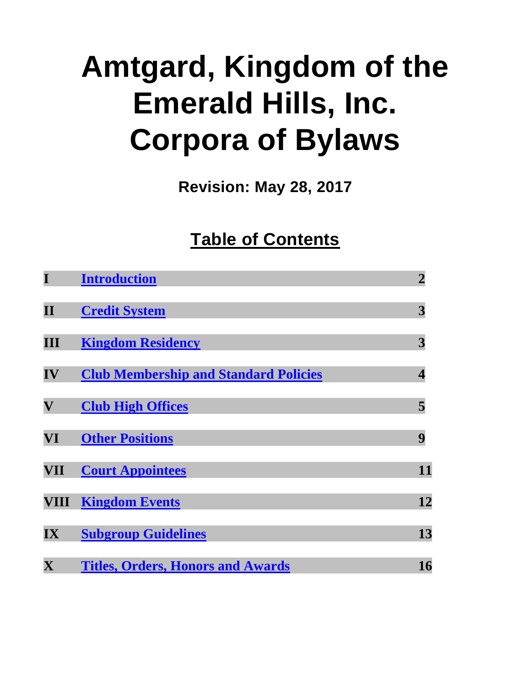# **Amtgard, Kingdom of the Emerald Hills, Inc. Corpora of Bylaws**

**Revision: May 28, 2017**

# **Table of Contents**

| I                                 | <b>Introduction</b>                          | $\overline{2}$          |
|-----------------------------------|----------------------------------------------|-------------------------|
| $\mathbf{II}$                     | <b>Credit System</b>                         | 3                       |
| $\mathbf{III}$                    | <b>Kingdom Residency</b>                     | 3                       |
| $\mathbf{IV}$                     | <b>Club Membership and Standard Policies</b> | $\overline{\mathbf{4}}$ |
| $\boldsymbol{\mathrm{V}}$         | <b>Club High Offices</b>                     | 5                       |
| VI                                | <b>Other Positions</b>                       | 9                       |
| VII                               | <b>Court Appointees</b>                      | 11                      |
| VIII                              | <b>Kingdom Events</b>                        | 12                      |
| $\overline{\mathbf{I}}\mathbf{X}$ | <b>Subgroup Guidelines</b>                   | 13                      |
| $\overline{\mathbf{X}}$           | <b>Titles, Orders, Honors and Awards</b>     | 16                      |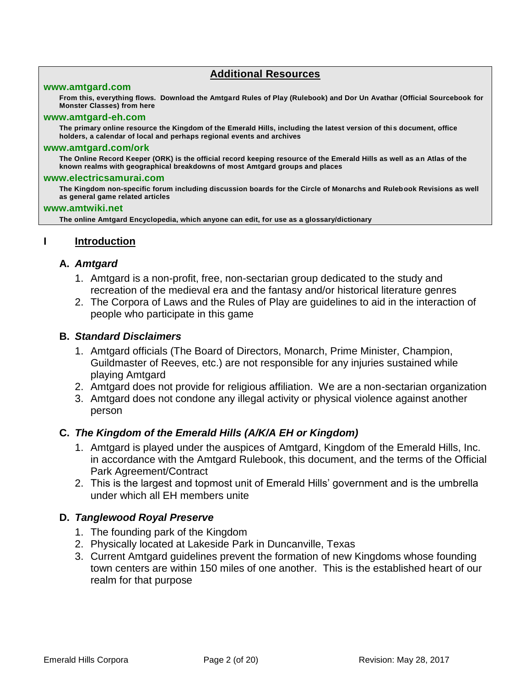#### **Additional Resources**

#### **[www.amtgard.com](http://www.amtgardinc.com/)**

**From this, everything flows. Download the Amtgard Rules of Play (Rulebook) and Dor Un Avathar (Official Sourcebook for Monster Classes) from here**

#### **[www.amtgard-eh.com](http://www.amtgard-eh.com/)**

**The primary online resource the Kingdom of the Emerald Hills, including the latest version of this document, office holders, a calendar of local and perhaps regional events and archives**

#### **[www.amtgard.com/ork](http://www.amtgard.com/ORK)**

**The Online Record Keeper (ORK) is the official record keeping resource of the Emerald Hills as well as an Atlas of the known realms with geographical breakdowns of most Amtgard groups and places**

#### **[www.electricsamurai.com](http://www.electricsamurai.com/)**

**The Kingdom non-specific forum including discussion boards for the Circle of Monarchs and Rulebook Revisions as well as general game related articles**

#### **[www.amtwiki.net](http://www.amtwiki.org/)**

**The online Amtgard Encyclopedia, which anyone can edit, for use as a glossary/dictionary**

#### <span id="page-1-0"></span>**I Introduction**

#### **A.** *Amtgard*

- 1. Amtgard is a non-profit, free, non-sectarian group dedicated to the study and recreation of the medieval era and the fantasy and/or historical literature genres
- 2. The Corpora of Laws and the Rules of Play are guidelines to aid in the interaction of people who participate in this game

#### **B.** *Standard Disclaimers*

- 1. Amtgard officials (The Board of Directors, Monarch, Prime Minister, Champion, Guildmaster of Reeves, etc.) are not responsible for any injuries sustained while playing Amtgard
- 2. Amtgard does not provide for religious affiliation. We are a non-sectarian organization
- 3. Amtgard does not condone any illegal activity or physical violence against another person

#### **C.** *The Kingdom of the Emerald Hills (A/K/A EH or Kingdom)*

- 1. Amtgard is played under the auspices of Amtgard, Kingdom of the Emerald Hills, Inc. in accordance with the Amtgard Rulebook, this document, and the terms of the Official Park Agreement/Contract
- 2. This is the largest and topmost unit of Emerald Hills' government and is the umbrella under which all EH members unite

#### **D.** *Tanglewood Royal Preserve*

- 1. The founding park of the Kingdom
- 2. Physically located at Lakeside Park in Duncanville, Texas
- 3. Current Amtgard guidelines prevent the formation of new Kingdoms whose founding town centers are within 150 miles of one another. This is the established heart of our realm for that purpose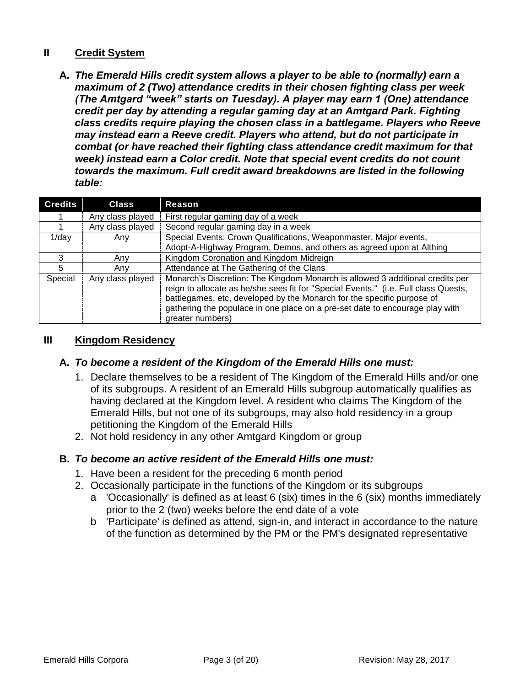#### <span id="page-2-0"></span>**II Credit System**

**A.** *The Emerald Hills credit system allows a player to be able to (normally) earn a maximum of 2 (Two) attendance credits in their chosen fighting class per week (The Amtgard "week" starts on Tuesday). A player may earn 1 (One) attendance credit per day by attending a regular gaming day at an Amtgard Park. Fighting class credits require playing the chosen class in a battlegame. Players who Reeve may instead earn a Reeve credit. Players who attend, but do not participate in combat (or have reached their fighting class attendance credit maximum for that week) instead earn a Color credit. Note that special event credits do not count towards the maximum. Full credit award breakdowns are listed in the following table:*

| <b>Credits</b> | <b>Class</b>     | Reason                                                                                                                                                                                                                                                                                                                                             |  |
|----------------|------------------|----------------------------------------------------------------------------------------------------------------------------------------------------------------------------------------------------------------------------------------------------------------------------------------------------------------------------------------------------|--|
|                | Any class played | First regular gaming day of a week                                                                                                                                                                                                                                                                                                                 |  |
|                | Any class played | Second regular gaming day in a week                                                                                                                                                                                                                                                                                                                |  |
| $1$ /day       | Anv              | Special Events: Crown Qualifications, Weaponmaster, Major events,                                                                                                                                                                                                                                                                                  |  |
|                |                  | Adopt-A-Highway Program, Demos, and others as agreed upon at Althing                                                                                                                                                                                                                                                                               |  |
| 3              | Any              | Kingdom Coronation and Kingdom Midreign                                                                                                                                                                                                                                                                                                            |  |
| 5              | Anv              | Attendance at The Gathering of the Clans                                                                                                                                                                                                                                                                                                           |  |
| Special        | Any class played | Monarch's Discretion: The Kingdom Monarch is allowed 3 additional credits per<br>reign to allocate as he/she sees fit for "Special Events." (i.e. Full class Quests,<br>battlegames, etc, developed by the Monarch for the specific purpose of<br>gathering the populace in one place on a pre-set date to encourage play with<br>greater numbers) |  |

#### <span id="page-2-1"></span>**III Kingdom Residency**

#### **A.** *To become a resident of the Kingdom of the Emerald Hills one must:*

- 1. Declare themselves to be a resident of The Kingdom of the Emerald Hills and/or one of its subgroups. A resident of an Emerald Hills subgroup automatically qualifies as having declared at the Kingdom level. A resident who claims The Kingdom of the Emerald Hills, but not one of its subgroups, may also hold residency in a group petitioning the Kingdom of the Emerald Hills
- 2. Not hold residency in any other Amtgard Kingdom or group

#### **B.** *To become an active resident of the Emerald Hills one must:*

- 1. Have been a resident for the preceding 6 month period
- 2. Occasionally participate in the functions of the Kingdom or its subgroups
	- a 'Occasionally' is defined as at least 6 (six) times in the 6 (six) months immediately prior to the 2 (two) weeks before the end date of a vote
	- b 'Participate' is defined as attend, sign-in, and interact in accordance to the nature of the function as determined by the PM or the PM's designated representative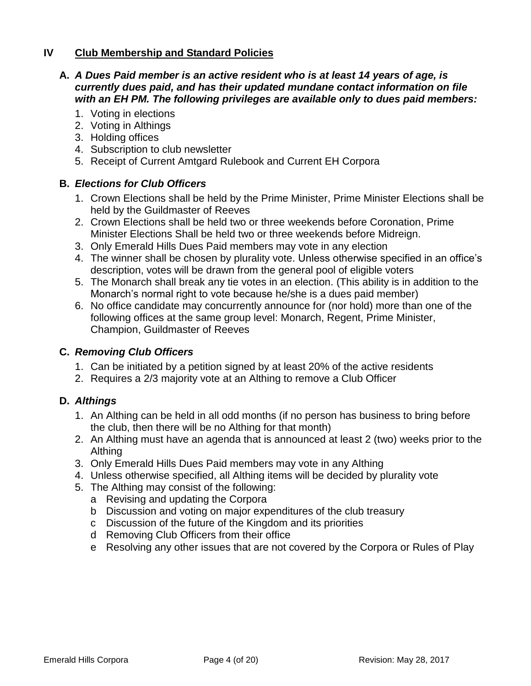#### <span id="page-3-0"></span>**IV Club Membership and Standard Policies**

#### **A.** *A Dues Paid member is an active resident who is at least 14 years of age, is currently dues paid, and has their updated mundane contact information on file with an EH PM. The following privileges are available only to dues paid members:*

- 1. Voting in elections
- 2. Voting in Althings
- 3. Holding offices
- 4. Subscription to club newsletter
- 5. Receipt of Current Amtgard Rulebook and Current EH Corpora

#### **B.** *Elections for Club Officers*

- 1. Crown Elections shall be held by the Prime Minister, Prime Minister Elections shall be held by the Guildmaster of Reeves
- 2. Crown Elections shall be held two or three weekends before Coronation, Prime Minister Elections Shall be held two or three weekends before Midreign.
- 3. Only Emerald Hills Dues Paid members may vote in any election
- 4. The winner shall be chosen by plurality vote. Unless otherwise specified in an office's description, votes will be drawn from the general pool of eligible voters
- 5. The Monarch shall break any tie votes in an election. (This ability is in addition to the Monarch's normal right to vote because he/she is a dues paid member)
- 6. No office candidate may concurrently announce for (nor hold) more than one of the following offices at the same group level: Monarch, Regent, Prime Minister, Champion, Guildmaster of Reeves

#### **C.** *Removing Club Officers*

- 1. Can be initiated by a petition signed by at least 20% of the active residents
- 2. Requires a 2/3 majority vote at an Althing to remove a Club Officer

#### **D.** *Althings*

- 1. An Althing can be held in all odd months (if no person has business to bring before the club, then there will be no Althing for that month)
- 2. An Althing must have an agenda that is announced at least 2 (two) weeks prior to the Althing
- 3. Only Emerald Hills Dues Paid members may vote in any Althing
- 4. Unless otherwise specified, all Althing items will be decided by plurality vote
- 5. The Althing may consist of the following:
	- a Revising and updating the Corpora
	- b Discussion and voting on major expenditures of the club treasury
	- c Discussion of the future of the Kingdom and its priorities
	- d Removing Club Officers from their office
	- e Resolving any other issues that are not covered by the Corpora or Rules of Play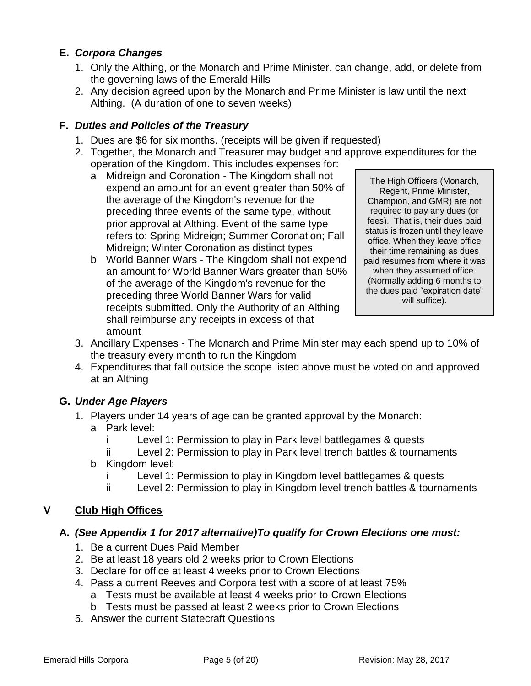# **E.** *Corpora Changes*

- 1. Only the Althing, or the Monarch and Prime Minister, can change, add, or delete from the governing laws of the Emerald Hills
- 2. Any decision agreed upon by the Monarch and Prime Minister is law until the next Althing. (A duration of one to seven weeks)

# **F.** *Duties and Policies of the Treasury*

- 1. Dues are \$6 for six months. (receipts will be given if requested)
- 2. Together, the Monarch and Treasurer may budget and approve expenditures for the operation of the Kingdom. This includes expenses for:
	- a Midreign and Coronation The Kingdom shall not expend an amount for an event greater than 50% of the average of the Kingdom's revenue for the preceding three events of the same type, without prior approval at Althing. Event of the same type refers to: Spring Midreign; Summer Coronation; Fall Midreign; Winter Coronation as distinct types
	- b World Banner Wars The Kingdom shall not expend an amount for World Banner Wars greater than 50% of the average of the Kingdom's revenue for the preceding three World Banner Wars for valid receipts submitted. Only the Authority of an Althing shall reimburse any receipts in excess of that amount

The High Officers (Monarch, Regent, Prime Minister, Champion, and GMR) are not required to pay any dues (or fees). That is, their dues paid status is frozen until they leave office. When they leave office their time remaining as dues paid resumes from where it was when they assumed office. (Normally adding 6 months to the dues paid "expiration date" will suffice).

- 3. Ancillary Expenses The Monarch and Prime Minister may each spend up to 10% of the treasury every month to run the Kingdom
- 4. Expenditures that fall outside the scope listed above must be voted on and approved at an Althing

# **G.** *Under Age Players*

- 1. Players under 14 years of age can be granted approval by the Monarch:
	- a Park level:
		- i Level 1: Permission to play in Park level battlegames & quests
		- ii Level 2: Permission to play in Park level trench battles & tournaments
	- b Kingdom level:
		- i Level 1: Permission to play in Kingdom level battlegames & quests
		- ii Level 2: Permission to play in Kingdom level trench battles & tournaments

# <span id="page-4-0"></span>**V Club High Offices**

# **A.** *(See Appendix 1 for 2017 alternative)To qualify for Crown Elections one must:*

- 1. Be a current Dues Paid Member
- 2. Be at least 18 years old 2 weeks prior to Crown Elections
- 3. Declare for office at least 4 weeks prior to Crown Elections
- 4. Pass a current Reeves and Corpora test with a score of at least 75% a Tests must be available at least 4 weeks prior to Crown Elections
	- b Tests must be passed at least 2 weeks prior to Crown Elections
- 5. Answer the current Statecraft Questions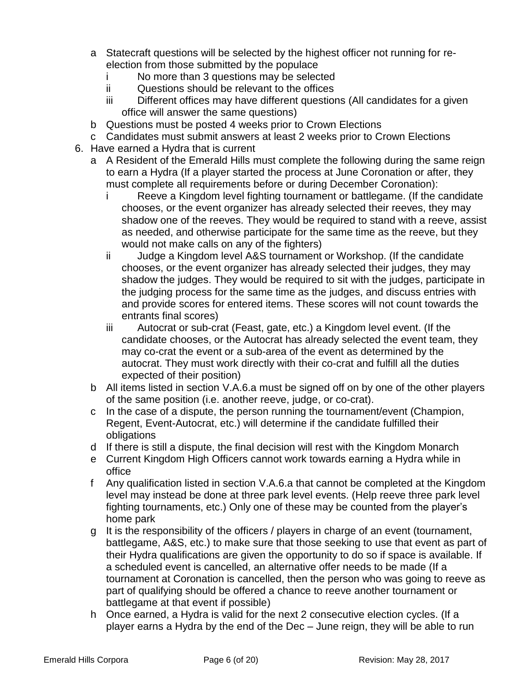- a Statecraft questions will be selected by the highest officer not running for reelection from those submitted by the populace
	- i No more than 3 questions may be selected
	- ii Questions should be relevant to the offices
	- iii Different offices may have different questions (All candidates for a given office will answer the same questions)
- b Questions must be posted 4 weeks prior to Crown Elections
- c Candidates must submit answers at least 2 weeks prior to Crown Elections
- 6. Have earned a Hydra that is current
	- a A Resident of the Emerald Hills must complete the following during the same reign to earn a Hydra (If a player started the process at June Coronation or after, they must complete all requirements before or during December Coronation):
		- i Reeve a Kingdom level fighting tournament or battlegame. (If the candidate chooses, or the event organizer has already selected their reeves, they may shadow one of the reeves. They would be required to stand with a reeve, assist as needed, and otherwise participate for the same time as the reeve, but they would not make calls on any of the fighters)
		- ii Judge a Kingdom level A&S tournament or Workshop. (If the candidate chooses, or the event organizer has already selected their judges, they may shadow the judges. They would be required to sit with the judges, participate in the judging process for the same time as the judges, and discuss entries with and provide scores for entered items. These scores will not count towards the entrants final scores)
		- iii Autocrat or sub-crat (Feast, gate, etc.) a Kingdom level event. (If the candidate chooses, or the Autocrat has already selected the event team, they may co-crat the event or a sub-area of the event as determined by the autocrat. They must work directly with their co-crat and fulfill all the duties expected of their position)
	- b All items listed in section V.A.6.a must be signed off on by one of the other players of the same position (i.e. another reeve, judge, or co-crat).
	- c In the case of a dispute, the person running the tournament/event (Champion, Regent, Event-Autocrat, etc.) will determine if the candidate fulfilled their obligations
	- d If there is still a dispute, the final decision will rest with the Kingdom Monarch
	- e Current Kingdom High Officers cannot work towards earning a Hydra while in office
	- f Any qualification listed in section V.A.6.a that cannot be completed at the Kingdom level may instead be done at three park level events. (Help reeve three park level fighting tournaments, etc.) Only one of these may be counted from the player's home park
	- g It is the responsibility of the officers / players in charge of an event (tournament, battlegame, A&S, etc.) to make sure that those seeking to use that event as part of their Hydra qualifications are given the opportunity to do so if space is available. If a scheduled event is cancelled, an alternative offer needs to be made (If a tournament at Coronation is cancelled, then the person who was going to reeve as part of qualifying should be offered a chance to reeve another tournament or battlegame at that event if possible)
	- h Once earned, a Hydra is valid for the next 2 consecutive election cycles. (If a player earns a Hydra by the end of the Dec – June reign, they will be able to run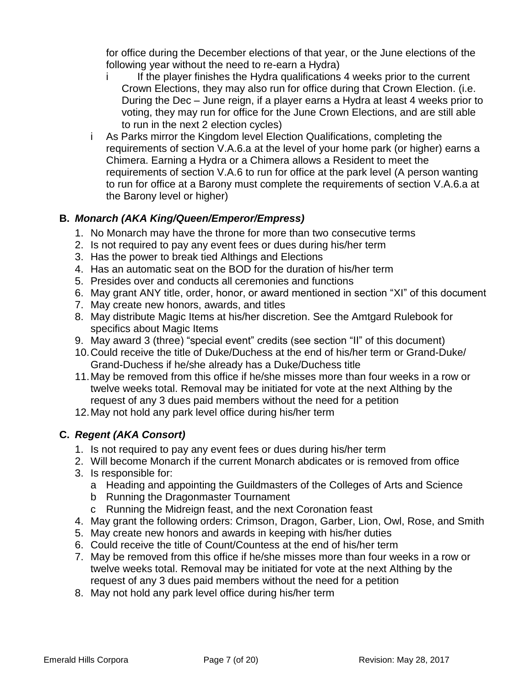for office during the December elections of that year, or the June elections of the following year without the need to re-earn a Hydra)

- i If the player finishes the Hydra qualifications 4 weeks prior to the current Crown Elections, they may also run for office during that Crown Election. (i.e. During the Dec – June reign, if a player earns a Hydra at least 4 weeks prior to voting, they may run for office for the June Crown Elections, and are still able to run in the next 2 election cycles)
- i As Parks mirror the Kingdom level Election Qualifications, completing the requirements of section V.A.6.a at the level of your home park (or higher) earns a Chimera. Earning a Hydra or a Chimera allows a Resident to meet the requirements of section V.A.6 to run for office at the park level (A person wanting to run for office at a Barony must complete the requirements of section V.A.6.a at the Barony level or higher)

# **B.** *Monarch (AKA King/Queen/Emperor/Empress)*

- 1. No Monarch may have the throne for more than two consecutive terms
- 2. Is not required to pay any event fees or dues during his/her term
- 3. Has the power to break tied Althings and Elections
- 4. Has an automatic seat on the BOD for the duration of his/her term
- 5. Presides over and conducts all ceremonies and functions
- 6. May grant ANY title, order, honor, or award mentioned in section "XI" of this document
- 7. May create new honors, awards, and titles
- 8. May distribute Magic Items at his/her discretion. See the Amtgard Rulebook for specifics about Magic Items
- 9. May award 3 (three) "special event" credits (see section "II" of this document)
- 10.Could receive the title of Duke/Duchess at the end of his/her term or Grand-Duke/ Grand-Duchess if he/she already has a Duke/Duchess title
- 11.May be removed from this office if he/she misses more than four weeks in a row or twelve weeks total. Removal may be initiated for vote at the next Althing by the request of any 3 dues paid members without the need for a petition
- 12.May not hold any park level office during his/her term

# **C.** *Regent (AKA Consort)*

- 1. Is not required to pay any event fees or dues during his/her term
- 2. Will become Monarch if the current Monarch abdicates or is removed from office
- 3. Is responsible for:
	- a Heading and appointing the Guildmasters of the Colleges of Arts and Science
	- b Running the Dragonmaster Tournament
	- c Running the Midreign feast, and the next Coronation feast
- 4. May grant the following orders: Crimson, Dragon, Garber, Lion, Owl, Rose, and Smith
- 5. May create new honors and awards in keeping with his/her duties
- 6. Could receive the title of Count/Countess at the end of his/her term
- 7. May be removed from this office if he/she misses more than four weeks in a row or twelve weeks total. Removal may be initiated for vote at the next Althing by the request of any 3 dues paid members without the need for a petition
- 8. May not hold any park level office during his/her term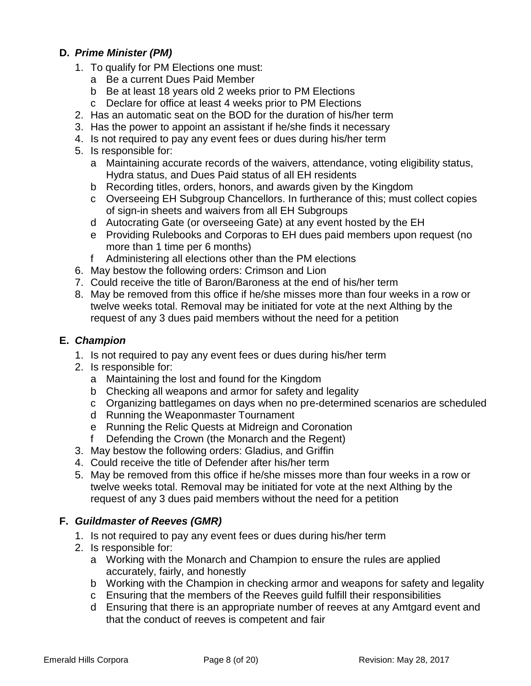# **D.** *Prime Minister (PM)*

- 1. To qualify for PM Elections one must:
	- a Be a current Dues Paid Member
	- b Be at least 18 years old 2 weeks prior to PM Elections
	- c Declare for office at least 4 weeks prior to PM Elections
- 2. Has an automatic seat on the BOD for the duration of his/her term
- 3. Has the power to appoint an assistant if he/she finds it necessary
- 4. Is not required to pay any event fees or dues during his/her term
- 5. Is responsible for:
	- a Maintaining accurate records of the waivers, attendance, voting eligibility status, Hydra status, and Dues Paid status of all EH residents
	- b Recording titles, orders, honors, and awards given by the Kingdom
	- c Overseeing EH Subgroup Chancellors. In furtherance of this; must collect copies of sign-in sheets and waivers from all EH Subgroups
	- d Autocrating Gate (or overseeing Gate) at any event hosted by the EH
	- e Providing Rulebooks and Corporas to EH dues paid members upon request (no more than 1 time per 6 months)
	- f Administering all elections other than the PM elections
- 6. May bestow the following orders: Crimson and Lion
- 7. Could receive the title of Baron/Baroness at the end of his/her term
- 8. May be removed from this office if he/she misses more than four weeks in a row or twelve weeks total. Removal may be initiated for vote at the next Althing by the request of any 3 dues paid members without the need for a petition

#### **E.** *Champion*

- 1. Is not required to pay any event fees or dues during his/her term
- 2. Is responsible for:
	- a Maintaining the lost and found for the Kingdom
	- b Checking all weapons and armor for safety and legality
	- c Organizing battlegames on days when no pre-determined scenarios are scheduled
	- d Running the Weaponmaster Tournament
	- e Running the Relic Quests at Midreign and Coronation
	- f Defending the Crown (the Monarch and the Regent)
- 3. May bestow the following orders: Gladius, and Griffin
- 4. Could receive the title of Defender after his/her term
- 5. May be removed from this office if he/she misses more than four weeks in a row or twelve weeks total. Removal may be initiated for vote at the next Althing by the request of any 3 dues paid members without the need for a petition

# **F.** *Guildmaster of Reeves (GMR)*

- 1. Is not required to pay any event fees or dues during his/her term
- 2. Is responsible for:
	- a Working with the Monarch and Champion to ensure the rules are applied accurately, fairly, and honestly
	- b Working with the Champion in checking armor and weapons for safety and legality
	- c Ensuring that the members of the Reeves guild fulfill their responsibilities
	- d Ensuring that there is an appropriate number of reeves at any Amtgard event and that the conduct of reeves is competent and fair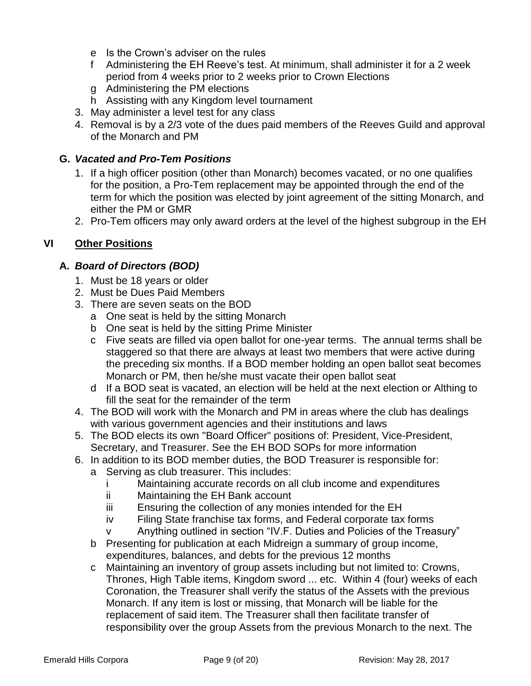- e Is the Crown's adviser on the rules
- f Administering the EH Reeve's test. At minimum, shall administer it for a 2 week period from 4 weeks prior to 2 weeks prior to Crown Elections
- g Administering the PM elections
- h Assisting with any Kingdom level tournament
- 3. May administer a level test for any class
- 4. Removal is by a 2/3 vote of the dues paid members of the Reeves Guild and approval of the Monarch and PM

# **G.** *Vacated and Pro-Tem Positions*

- 1. If a high officer position (other than Monarch) becomes vacated, or no one qualifies for the position, a Pro-Tem replacement may be appointed through the end of the term for which the position was elected by joint agreement of the sitting Monarch, and either the PM or GMR
- 2. Pro-Tem officers may only award orders at the level of the highest subgroup in the EH

# <span id="page-8-0"></span>**VI Other Positions**

# **A.** *Board of Directors (BOD)*

- 1. Must be 18 years or older
- 2. Must be Dues Paid Members
- 3. There are seven seats on the BOD
	- a One seat is held by the sitting Monarch
	- b One seat is held by the sitting Prime Minister
	- c Five seats are filled via open ballot for one-year terms. The annual terms shall be staggered so that there are always at least two members that were active during the preceding six months. If a BOD member holding an open ballot seat becomes Monarch or PM, then he/she must vacate their open ballot seat
	- d If a BOD seat is vacated, an election will be held at the next election or Althing to fill the seat for the remainder of the term
- 4. The BOD will work with the Monarch and PM in areas where the club has dealings with various government agencies and their institutions and laws
- 5. The BOD elects its own "Board Officer" positions of: President, Vice-President, Secretary, and Treasurer. See the EH BOD SOPs for more information
- 6. In addition to its BOD member duties, the BOD Treasurer is responsible for:
	- a Serving as club treasurer. This includes:
		- i Maintaining accurate records on all club income and expenditures
		- ii Maintaining the EH Bank account
		- iii Ensuring the collection of any monies intended for the EH
		- iv Filing State franchise tax forms, and Federal corporate tax forms
		- v Anything outlined in section "IV.F. Duties and Policies of the Treasury"
	- b Presenting for publication at each Midreign a summary of group income, expenditures, balances, and debts for the previous 12 months
	- c Maintaining an inventory of group assets including but not limited to: Crowns, Thrones, High Table items, Kingdom sword ... etc. Within 4 (four) weeks of each Coronation, the Treasurer shall verify the status of the Assets with the previous Monarch. If any item is lost or missing, that Monarch will be liable for the replacement of said item. The Treasurer shall then facilitate transfer of responsibility over the group Assets from the previous Monarch to the next. The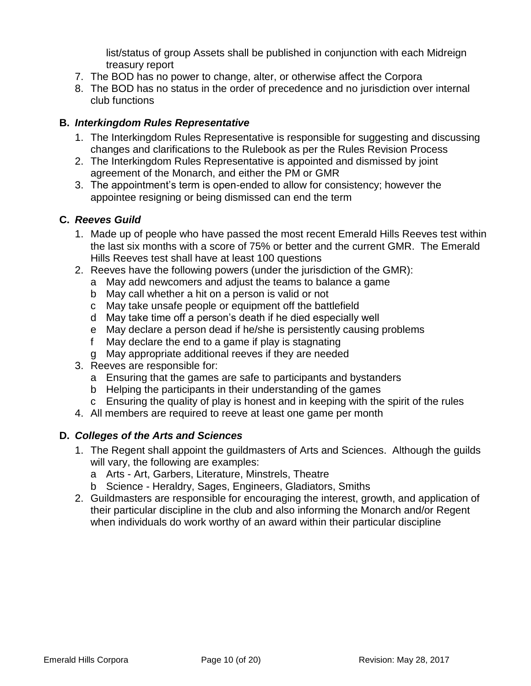list/status of group Assets shall be published in conjunction with each Midreign treasury report

- 7. The BOD has no power to change, alter, or otherwise affect the Corpora
- 8. The BOD has no status in the order of precedence and no jurisdiction over internal club functions

#### **B.** *Interkingdom Rules Representative*

- 1. The Interkingdom Rules Representative is responsible for suggesting and discussing changes and clarifications to the Rulebook as per the Rules Revision Process
- 2. The Interkingdom Rules Representative is appointed and dismissed by joint agreement of the Monarch, and either the PM or GMR
- 3. The appointment's term is open-ended to allow for consistency; however the appointee resigning or being dismissed can end the term

#### **C.** *Reeves Guild*

- 1. Made up of people who have passed the most recent Emerald Hills Reeves test within the last six months with a score of 75% or better and the current GMR. The Emerald Hills Reeves test shall have at least 100 questions
- 2. Reeves have the following powers (under the jurisdiction of the GMR):
	- a May add newcomers and adjust the teams to balance a game
	- b May call whether a hit on a person is valid or not
	- c May take unsafe people or equipment off the battlefield
	- d May take time off a person's death if he died especially well
	- e May declare a person dead if he/she is persistently causing problems
	- f May declare the end to a game if play is stagnating
	- g May appropriate additional reeves if they are needed
- 3. Reeves are responsible for:
	- a Ensuring that the games are safe to participants and bystanders
	- b Helping the participants in their understanding of the games
	- c Ensuring the quality of play is honest and in keeping with the spirit of the rules
- 4. All members are required to reeve at least one game per month

# **D.** *Colleges of the Arts and Sciences*

- 1. The Regent shall appoint the guildmasters of Arts and Sciences. Although the guilds will vary, the following are examples:
	- a Arts Art, Garbers, Literature, Minstrels, Theatre
	- b Science Heraldry, Sages, Engineers, Gladiators, Smiths
- 2. Guildmasters are responsible for encouraging the interest, growth, and application of their particular discipline in the club and also informing the Monarch and/or Regent when individuals do work worthy of an award within their particular discipline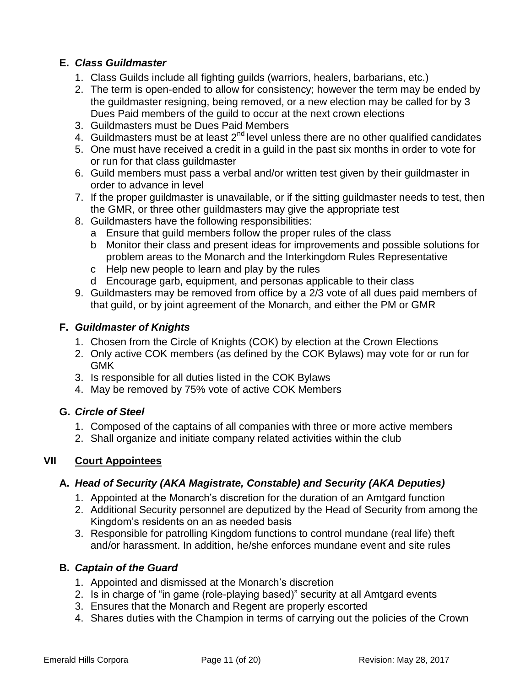# **E.** *Class Guildmaster*

- 1. Class Guilds include all fighting guilds (warriors, healers, barbarians, etc.)
- 2. The term is open-ended to allow for consistency; however the term may be ended by the guildmaster resigning, being removed, or a new election may be called for by 3 Dues Paid members of the guild to occur at the next crown elections
- 3. Guildmasters must be Dues Paid Members
- 4. Guildmasters must be at least  $2^{nd}$  level unless there are no other qualified candidates
- 5. One must have received a credit in a guild in the past six months in order to vote for or run for that class guildmaster
- 6. Guild members must pass a verbal and/or written test given by their guildmaster in order to advance in level
- 7. If the proper guildmaster is unavailable, or if the sitting guildmaster needs to test, then the GMR, or three other guildmasters may give the appropriate test
- 8. Guildmasters have the following responsibilities:
	- a Ensure that guild members follow the proper rules of the class
	- b Monitor their class and present ideas for improvements and possible solutions for problem areas to the Monarch and the Interkingdom Rules Representative
	- c Help new people to learn and play by the rules
	- d Encourage garb, equipment, and personas applicable to their class
- 9. Guildmasters may be removed from office by a 2/3 vote of all dues paid members of that guild, or by joint agreement of the Monarch, and either the PM or GMR

# **F.** *Guildmaster of Knights*

- 1. Chosen from the Circle of Knights (COK) by election at the Crown Elections
- 2. Only active COK members (as defined by the COK Bylaws) may vote for or run for GMK
- 3. Is responsible for all duties listed in the COK Bylaws
- 4. May be removed by 75% vote of active COK Members

# **G.** *Circle of Steel*

- 1. Composed of the captains of all companies with three or more active members
- 2. Shall organize and initiate company related activities within the club

# <span id="page-10-0"></span>**VII Court Appointees**

# **A.** *Head of Security (AKA Magistrate, Constable) and Security (AKA Deputies)*

- 1. Appointed at the Monarch's discretion for the duration of an Amtgard function
- 2. Additional Security personnel are deputized by the Head of Security from among the Kingdom's residents on an as needed basis
- 3. Responsible for patrolling Kingdom functions to control mundane (real life) theft and/or harassment. In addition, he/she enforces mundane event and site rules

# **B.** *Captain of the Guard*

- 1. Appointed and dismissed at the Monarch's discretion
- 2. Is in charge of "in game (role-playing based)" security at all Amtgard events
- 3. Ensures that the Monarch and Regent are properly escorted
- 4. Shares duties with the Champion in terms of carrying out the policies of the Crown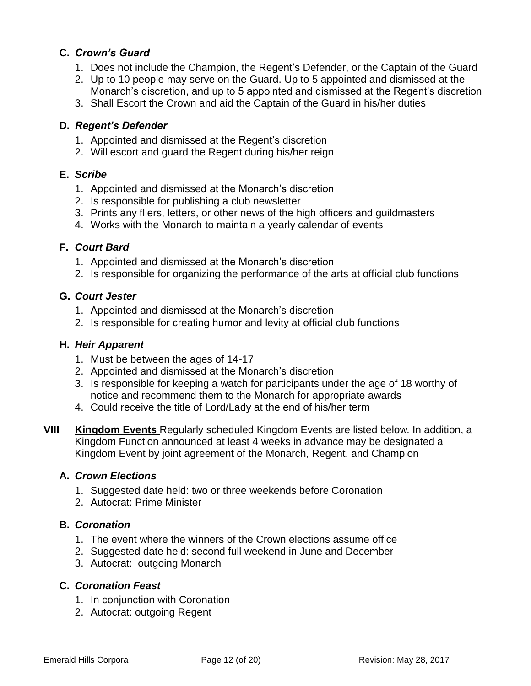#### **C.** *Crown's Guard*

- 1. Does not include the Champion, the Regent's Defender, or the Captain of the Guard
- 2. Up to 10 people may serve on the Guard. Up to 5 appointed and dismissed at the Monarch's discretion, and up to 5 appointed and dismissed at the Regent's discretion
- 3. Shall Escort the Crown and aid the Captain of the Guard in his/her duties

#### **D.** *Regent's Defender*

- 1. Appointed and dismissed at the Regent's discretion
- 2. Will escort and guard the Regent during his/her reign

#### **E.** *Scribe*

- 1. Appointed and dismissed at the Monarch's discretion
- 2. Is responsible for publishing a club newsletter
- 3. Prints any fliers, letters, or other news of the high officers and guildmasters
- 4. Works with the Monarch to maintain a yearly calendar of events

#### **F.** *Court Bard*

- 1. Appointed and dismissed at the Monarch's discretion
- 2. Is responsible for organizing the performance of the arts at official club functions

#### **G.** *Court Jester*

- 1. Appointed and dismissed at the Monarch's discretion
- 2. Is responsible for creating humor and levity at official club functions

#### **H.** *Heir Apparent*

- 1. Must be between the ages of 14-17
- 2. Appointed and dismissed at the Monarch's discretion
- 3. Is responsible for keeping a watch for participants under the age of 18 worthy of notice and recommend them to the Monarch for appropriate awards
- 4. Could receive the title of Lord/Lady at the end of his/her term
- <span id="page-11-0"></span>**VIII Kingdom Events** Regularly scheduled Kingdom Events are listed below. In addition, a Kingdom Function announced at least 4 weeks in advance may be designated a Kingdom Event by joint agreement of the Monarch, Regent, and Champion

# **A.** *Crown Elections*

- 1. Suggested date held: two or three weekends before Coronation
- 2. Autocrat: Prime Minister

# **B.** *Coronation*

- 1. The event where the winners of the Crown elections assume office
- 2. Suggested date held: second full weekend in June and December
- 3. Autocrat: outgoing Monarch

# **C.** *Coronation Feast*

- 1. In conjunction with Coronation
- 2. Autocrat: outgoing Regent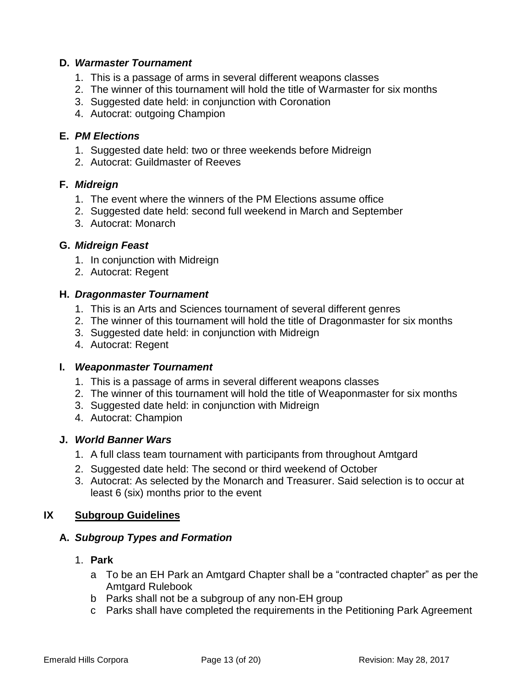#### **D.** *Warmaster Tournament*

- 1. This is a passage of arms in several different weapons classes
- 2. The winner of this tournament will hold the title of Warmaster for six months
- 3. Suggested date held: in conjunction with Coronation
- 4. Autocrat: outgoing Champion

#### **E.** *PM Elections*

- 1. Suggested date held: two or three weekends before Midreign
- 2. Autocrat: Guildmaster of Reeves

#### **F.** *Midreign*

- 1. The event where the winners of the PM Elections assume office
- 2. Suggested date held: second full weekend in March and September
- 3. Autocrat: Monarch

#### **G.** *Midreign Feast*

- 1. In conjunction with Midreign
- 2. Autocrat: Regent

#### **H.** *Dragonmaster Tournament*

- 1. This is an Arts and Sciences tournament of several different genres
- 2. The winner of this tournament will hold the title of Dragonmaster for six months
- 3. Suggested date held: in conjunction with Midreign
- 4. Autocrat: Regent

#### **I.** *Weaponmaster Tournament*

- 1. This is a passage of arms in several different weapons classes
- 2. The winner of this tournament will hold the title of Weaponmaster for six months
- 3. Suggested date held: in conjunction with Midreign
- 4. Autocrat: Champion

#### **J.** *World Banner Wars*

- 1. A full class team tournament with participants from throughout Amtgard
- 2. Suggested date held: The second or third weekend of October
- 3. Autocrat: As selected by the Monarch and Treasurer. Said selection is to occur at least 6 (six) months prior to the event

#### <span id="page-12-0"></span>**IX Subgroup Guidelines**

#### **A.** *Subgroup Types and Formation*

- 1. **Park**
	- a To be an EH Park an Amtgard Chapter shall be a "contracted chapter" as per the Amtgard Rulebook
	- b Parks shall not be a subgroup of any non-EH group
	- c Parks shall have completed the requirements in the Petitioning Park Agreement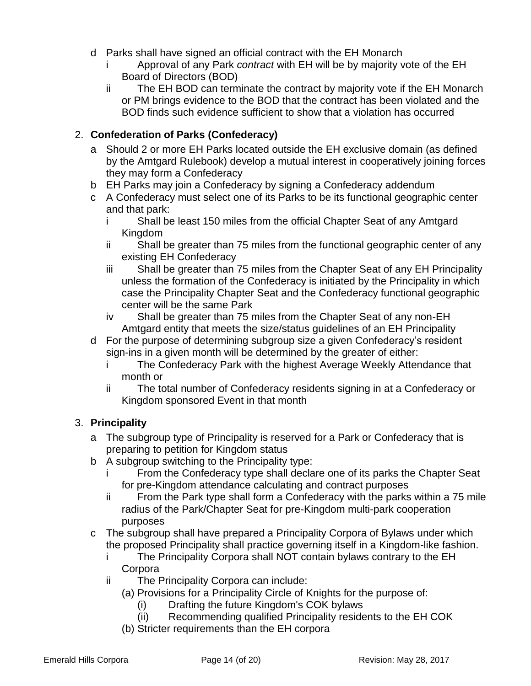- d Parks shall have signed an official contract with the EH Monarch
	- i Approval of any Park *contract* with EH will be by majority vote of the EH Board of Directors (BOD)
	- ii The EH BOD can terminate the contract by majority vote if the EH Monarch or PM brings evidence to the BOD that the contract has been violated and the BOD finds such evidence sufficient to show that a violation has occurred

# 2. **Confederation of Parks (Confederacy)**

- a Should 2 or more EH Parks located outside the EH exclusive domain (as defined by the Amtgard Rulebook) develop a mutual interest in cooperatively joining forces they may form a Confederacy
- b EH Parks may join a Confederacy by signing a Confederacy addendum
- c A Confederacy must select one of its Parks to be its functional geographic center and that park:
	- i Shall be least 150 miles from the official Chapter Seat of any Amtgard Kingdom
	- ii Shall be greater than 75 miles from the functional geographic center of any existing EH Confederacy
	- iii Shall be greater than 75 miles from the Chapter Seat of any EH Principality unless the formation of the Confederacy is initiated by the Principality in which case the Principality Chapter Seat and the Confederacy functional geographic center will be the same Park
	- iv Shall be greater than 75 miles from the Chapter Seat of any non-EH Amtgard entity that meets the size/status guidelines of an EH Principality
- d For the purpose of determining subgroup size a given Confederacy's resident sign-ins in a given month will be determined by the greater of either:
	- i The Confederacy Park with the highest Average Weekly Attendance that month or
	- ii The total number of Confederacy residents signing in at a Confederacy or Kingdom sponsored Event in that month

# 3. **Principality**

- a The subgroup type of Principality is reserved for a Park or Confederacy that is preparing to petition for Kingdom status
- b A subgroup switching to the Principality type:
	- From the Confederacy type shall declare one of its parks the Chapter Seat for pre-Kingdom attendance calculating and contract purposes
	- ii From the Park type shall form a Confederacy with the parks within a 75 mile radius of the Park/Chapter Seat for pre-Kingdom multi-park cooperation purposes
- c The subgroup shall have prepared a Principality Corpora of Bylaws under which the proposed Principality shall practice governing itself in a Kingdom-like fashion.
	- i The Principality Corpora shall NOT contain bylaws contrary to the EH **Corpora**
	- ii The Principality Corpora can include:
		- (a) Provisions for a Principality Circle of Knights for the purpose of:
			- (i) Drafting the future Kingdom's COK bylaws
			- (ii) Recommending qualified Principality residents to the EH COK
		- (b) Stricter requirements than the EH corpora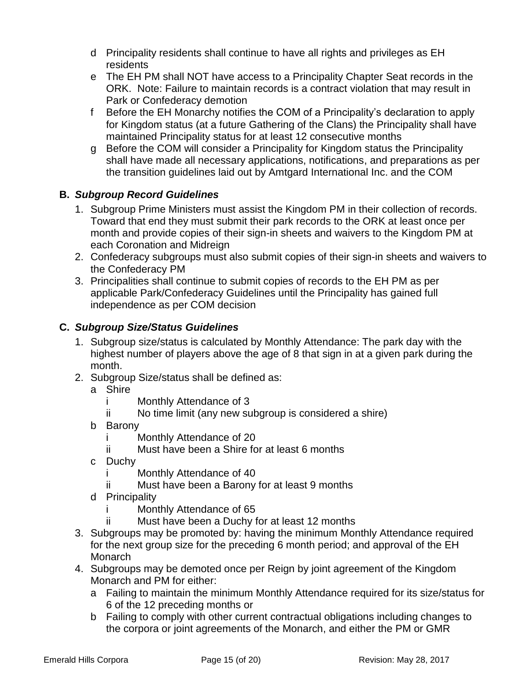- d Principality residents shall continue to have all rights and privileges as EH residents
- e The EH PM shall NOT have access to a Principality Chapter Seat records in the ORK. Note: Failure to maintain records is a contract violation that may result in Park or Confederacy demotion
- f Before the EH Monarchy notifies the COM of a Principality's declaration to apply for Kingdom status (at a future Gathering of the Clans) the Principality shall have maintained Principality status for at least 12 consecutive months
- g Before the COM will consider a Principality for Kingdom status the Principality shall have made all necessary applications, notifications, and preparations as per the transition guidelines laid out by Amtgard International Inc. and the COM

# **B.** *Subgroup Record Guidelines*

- 1. Subgroup Prime Ministers must assist the Kingdom PM in their collection of records. Toward that end they must submit their park records to the ORK at least once per month and provide copies of their sign-in sheets and waivers to the Kingdom PM at each Coronation and Midreign
- 2. Confederacy subgroups must also submit copies of their sign-in sheets and waivers to the Confederacy PM
- 3. Principalities shall continue to submit copies of records to the EH PM as per applicable Park/Confederacy Guidelines until the Principality has gained full independence as per COM decision

# **C.** *Subgroup Size/Status Guidelines*

- 1. Subgroup size/status is calculated by Monthly Attendance: The park day with the highest number of players above the age of 8 that sign in at a given park during the month.
- 2. Subgroup Size/status shall be defined as:
	- a Shire
		- i Monthly Attendance of 3
		- ii No time limit (any new subgroup is considered a shire)
	- b Barony
		- i Monthly Attendance of 20
		- ii Must have been a Shire for at least 6 months
	- c Duchy
		- i Monthly Attendance of 40
		- ii Must have been a Barony for at least 9 months
	- d Principality
		- i Monthly Attendance of 65
		- ii Must have been a Duchy for at least 12 months
- 3. Subgroups may be promoted by: having the minimum Monthly Attendance required for the next group size for the preceding 6 month period; and approval of the EH Monarch
- 4. Subgroups may be demoted once per Reign by joint agreement of the Kingdom Monarch and PM for either:
	- a Failing to maintain the minimum Monthly Attendance required for its size/status for 6 of the 12 preceding months or
	- b Failing to comply with other current contractual obligations including changes to the corpora or joint agreements of the Monarch, and either the PM or GMR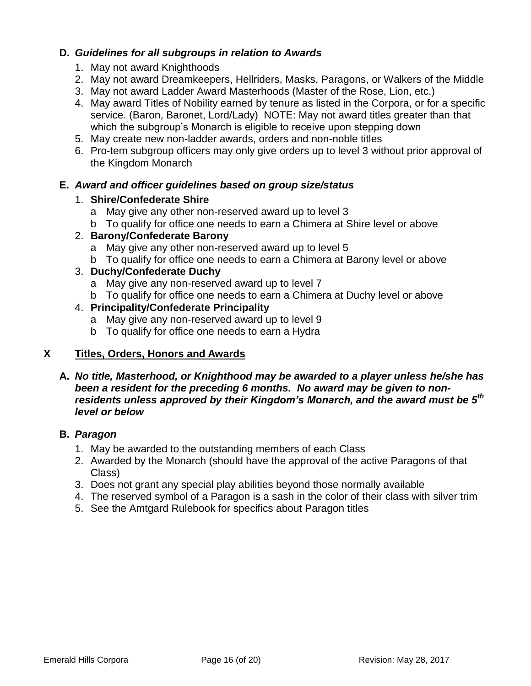#### **D.** *Guidelines for all subgroups in relation to Awards*

- 1. May not award Knighthoods
- 2. May not award Dreamkeepers, Hellriders, Masks, Paragons, or Walkers of the Middle
- 3. May not award Ladder Award Masterhoods (Master of the Rose, Lion, etc.)
- 4. May award Titles of Nobility earned by tenure as listed in the Corpora, or for a specific service. (Baron, Baronet, Lord/Lady) NOTE: May not award titles greater than that which the subgroup's Monarch is eligible to receive upon stepping down
- 5. May create new non-ladder awards, orders and non-noble titles
- 6. Pro-tem subgroup officers may only give orders up to level 3 without prior approval of the Kingdom Monarch

#### **E.** *Award and officer guidelines based on group size/status*

#### 1. **Shire/Confederate Shire**

- a May give any other non-reserved award up to level 3
- b To qualify for office one needs to earn a Chimera at Shire level or above

#### 2. **Barony/Confederate Barony**

- a May give any other non-reserved award up to level 5
- b To qualify for office one needs to earn a Chimera at Barony level or above

#### 3. **Duchy/Confederate Duchy**

- a May give any non-reserved award up to level 7
- b To qualify for office one needs to earn a Chimera at Duchy level or above

#### 4. **Principality/Confederate Principality**

- a May give any non-reserved award up to level 9
- b To qualify for office one needs to earn a Hydra

# <span id="page-15-0"></span>**X Titles, Orders, Honors and Awards**

#### **A.** *No title, Masterhood, or Knighthood may be awarded to a player unless he/she has been a resident for the preceding 6 months. No award may be given to nonresidents unless approved by their Kingdom's Monarch, and the award must be 5th level or below*

#### **B.** *Paragon*

- 1. May be awarded to the outstanding members of each Class
- 2. Awarded by the Monarch (should have the approval of the active Paragons of that Class)
- 3. Does not grant any special play abilities beyond those normally available
- 4. The reserved symbol of a Paragon is a sash in the color of their class with silver trim
- 5. See the Amtgard Rulebook for specifics about Paragon titles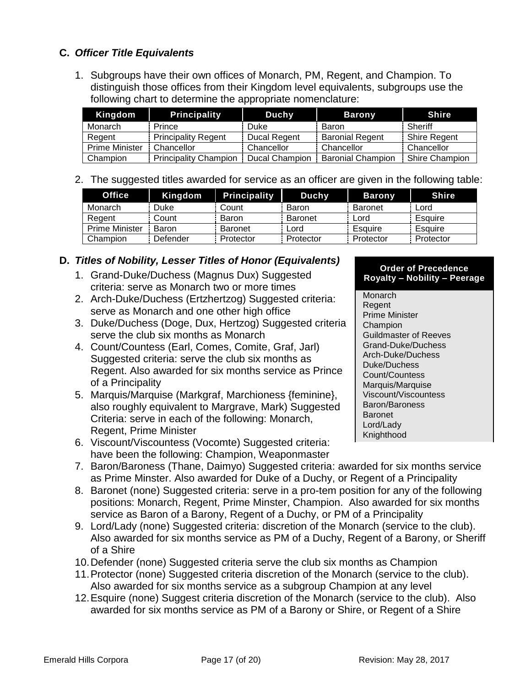# **C.** *Officer Title Equivalents*

1. Subgroups have their own offices of Monarch, PM, Regent, and Champion. To distinguish those offices from their Kingdom level equivalents, subgroups use the following chart to determine the appropriate nomenclature:

| Kingdom        | <b>Principality</b>          | Duchy                 | <b>Barony</b>            | <b>Shire</b>          |
|----------------|------------------------------|-----------------------|--------------------------|-----------------------|
| Monarch        | Prince                       | Duke                  | Baron                    | Sheriff               |
| Regent         | <b>Principality Regent</b>   | Ducal Regent          | <b>Baronial Regent</b>   | <b>Shire Regent</b>   |
| Prime Minister | Chancellor                   | Chancellor            | Chancellor               | Chancellor            |
| Champion       | <b>Principality Champion</b> | <b>Ducal Champion</b> | <b>Baronial Champion</b> | <b>Shire Champion</b> |

2. The suggested titles awarded for service as an officer are given in the following table:

| <b>Office</b>         | Kingdom  | <b>Principality</b> | Duchy          | <b>Barony</b>  | <b>Shire</b> |
|-----------------------|----------|---------------------|----------------|----------------|--------------|
| Monarch               | Duke     | Count               | Baron          | <b>Baronet</b> | Lord         |
| Regent                | Count    | Baron               | <b>Baronet</b> | Lord           | Esquire      |
| <b>Prime Minister</b> | Baron    | <b>Baronet</b>      | Lord           | Esquire        | Esquire      |
| Champion              | Defender | Protector           | Protector      | Protector      | Protector    |

#### **D.** *Titles of Nobility, Lesser Titles of Honor (Equivalents)*

- 1. Grand-Duke/Duchess (Magnus Dux) Suggested criteria: serve as Monarch two or more times
- 2. Arch-Duke/Duchess (Ertzhertzog) Suggested criteria: serve as Monarch and one other high office
- 3. Duke/Duchess (Doge, Dux, Hertzog) Suggested criteria serve the club six months as Monarch
- 4. Count/Countess (Earl, Comes, Comite, Graf, Jarl) Suggested criteria: serve the club six months as Regent. Also awarded for six months service as Prince of a Principality
- 5. Marquis/Marquise (Markgraf, Marchioness {feminine}, also roughly equivalent to Margrave, Mark) Suggested Criteria: serve in each of the following: Monarch, Regent, Prime Minister
- 6. Viscount/Viscountess (Vocomte) Suggested criteria: have been the following: Champion, Weaponmaster

#### **Order of Precedence Royalty – Nobility – Peerage**

**Monarch** Regent Prime Minister **Champion** Guildmaster of Reeves Grand-Duke/Duchess Arch-Duke/Duchess Duke/Duchess Count/Countess Marquis/Marquise Viscount/Viscountess Baron/Baroness Baronet Lord/Lady **Knighthood** 

- 7. Baron/Baroness (Thane, Daimyo) Suggested criteria: awarded for six months service as Prime Minster. Also awarded for Duke of a Duchy, or Regent of a Principality
- 8. Baronet (none) Suggested criteria: serve in a pro-tem position for any of the following positions: Monarch, Regent, Prime Minster, Champion. Also awarded for six months service as Baron of a Barony, Regent of a Duchy, or PM of a Principality
- 9. Lord/Lady (none) Suggested criteria: discretion of the Monarch (service to the club). Also awarded for six months service as PM of a Duchy, Regent of a Barony, or Sheriff of a Shire
- 10.Defender (none) Suggested criteria serve the club six months as Champion
- 11.Protector (none) Suggested criteria discretion of the Monarch (service to the club). Also awarded for six months service as a subgroup Champion at any level
- 12.Esquire (none) Suggest criteria discretion of the Monarch (service to the club). Also awarded for six months service as PM of a Barony or Shire, or Regent of a Shire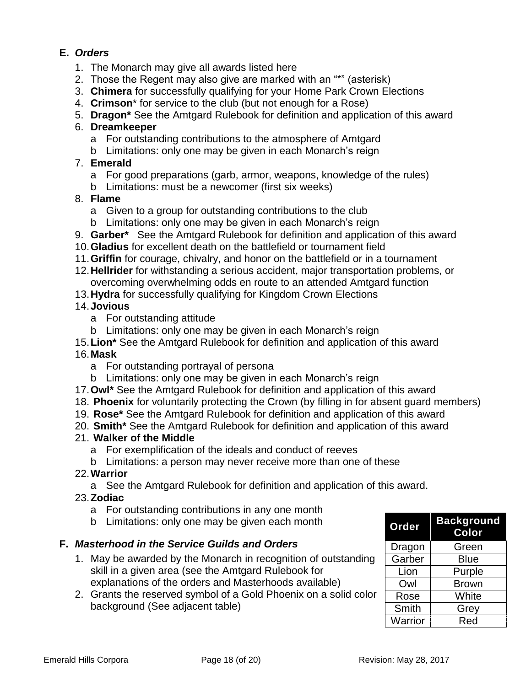# **E.** *Orders*

- 1. The Monarch may give all awards listed here
- 2. Those the Regent may also give are marked with an "\*" (asterisk)
- 3. **Chimera** for successfully qualifying for your Home Park Crown Elections
- 4. **Crimson**\* for service to the club (but not enough for a Rose)
- 5. **Dragon\*** See the Amtgard Rulebook for definition and application of this award

#### 6. **Dreamkeeper**

- a For outstanding contributions to the atmosphere of Amtgard
- b Limitations: only one may be given in each Monarch's reign

#### 7. **Emerald**

- a For good preparations (garb, armor, weapons, knowledge of the rules)
- b Limitations: must be a newcomer (first six weeks)

#### 8. **Flame**

- a Given to a group for outstanding contributions to the club
- b Limitations: only one may be given in each Monarch's reign
- 9. **Garber\*** See the Amtgard Rulebook for definition and application of this award
- 10.**Gladius** for excellent death on the battlefield or tournament field
- 11.**Griffin** for courage, chivalry, and honor on the battlefield or in a tournament
- 12.**Hellrider** for withstanding a serious accident, major transportation problems, or overcoming overwhelming odds en route to an attended Amtgard function
- 13.**Hydra** for successfully qualifying for Kingdom Crown Elections

#### 14.**Jovious**

- a For outstanding attitude
- b Limitations: only one may be given in each Monarch's reign
- 15.**Lion\*** See the Amtgard Rulebook for definition and application of this award

# 16.**Mask**

- a For outstanding portrayal of persona
- b Limitations: only one may be given in each Monarch's reign
- 17.**Owl\*** See the Amtgard Rulebook for definition and application of this award
- 18. **Phoenix** for voluntarily protecting the Crown (by filling in for absent guard members)
- 19. **Rose\*** See the Amtgard Rulebook for definition and application of this award
- 20. **Smith\*** See the Amtgard Rulebook for definition and application of this award

# 21. **Walker of the Middle**

- a For exemplification of the ideals and conduct of reeves
- b Limitations: a person may never receive more than one of these

#### 22.**Warrior**

a See the Amtgard Rulebook for definition and application of this award.

#### 23.**Zodiac**

- a For outstanding contributions in any one month
- b Limitations: only one may be given each month

# **F.** *Masterhood in the Service Guilds and Orders*

- 1. May be awarded by the Monarch in recognition of outstanding skill in a given area (see the Amtgard Rulebook for explanations of the orders and Masterhoods available)
- 2. Grants the reserved symbol of a Gold Phoenix on a solid color background (See adjacent table)

| Order          | <b>Background</b><br>Color |
|----------------|----------------------------|
| Dragon         | Green                      |
| Garber         | <b>Blue</b>                |
| Lion           | Purple                     |
| Owl            | <b>Brown</b>               |
| Rose           | White                      |
| Smith          | Grey                       |
| <b>Warrior</b> | Red                        |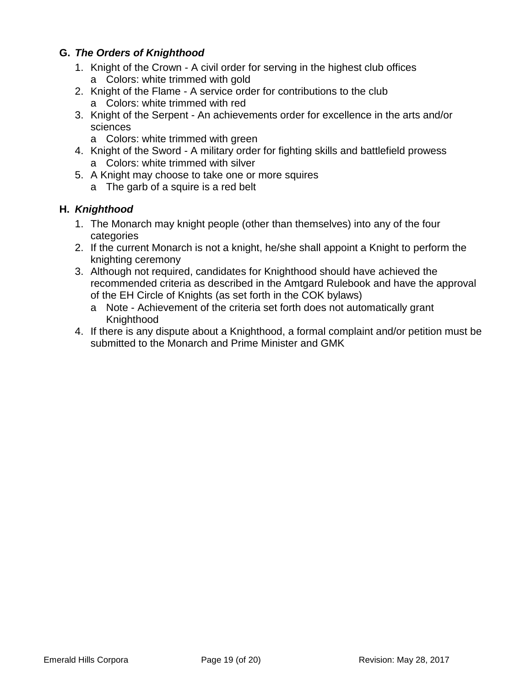# **G.** *The Orders of Knighthood*

- 1. Knight of the Crown A civil order for serving in the highest club offices a Colors: white trimmed with gold
- 2. Knight of the Flame A service order for contributions to the club a Colors: white trimmed with red
- 3. Knight of the Serpent An achievements order for excellence in the arts and/or sciences
	- a Colors: white trimmed with green
- 4. Knight of the Sword A military order for fighting skills and battlefield prowess a Colors: white trimmed with silver
- 5. A Knight may choose to take one or more squires
	- a The garb of a squire is a red belt

# **H.** *Knighthood*

- 1. The Monarch may knight people (other than themselves) into any of the four categories
- 2. If the current Monarch is not a knight, he/she shall appoint a Knight to perform the knighting ceremony
- 3. Although not required, candidates for Knighthood should have achieved the recommended criteria as described in the Amtgard Rulebook and have the approval of the EH Circle of Knights (as set forth in the COK bylaws)
	- a Note Achievement of the criteria set forth does not automatically grant Knighthood
- 4. If there is any dispute about a Knighthood, a formal complaint and/or petition must be submitted to the Monarch and Prime Minister and GMK